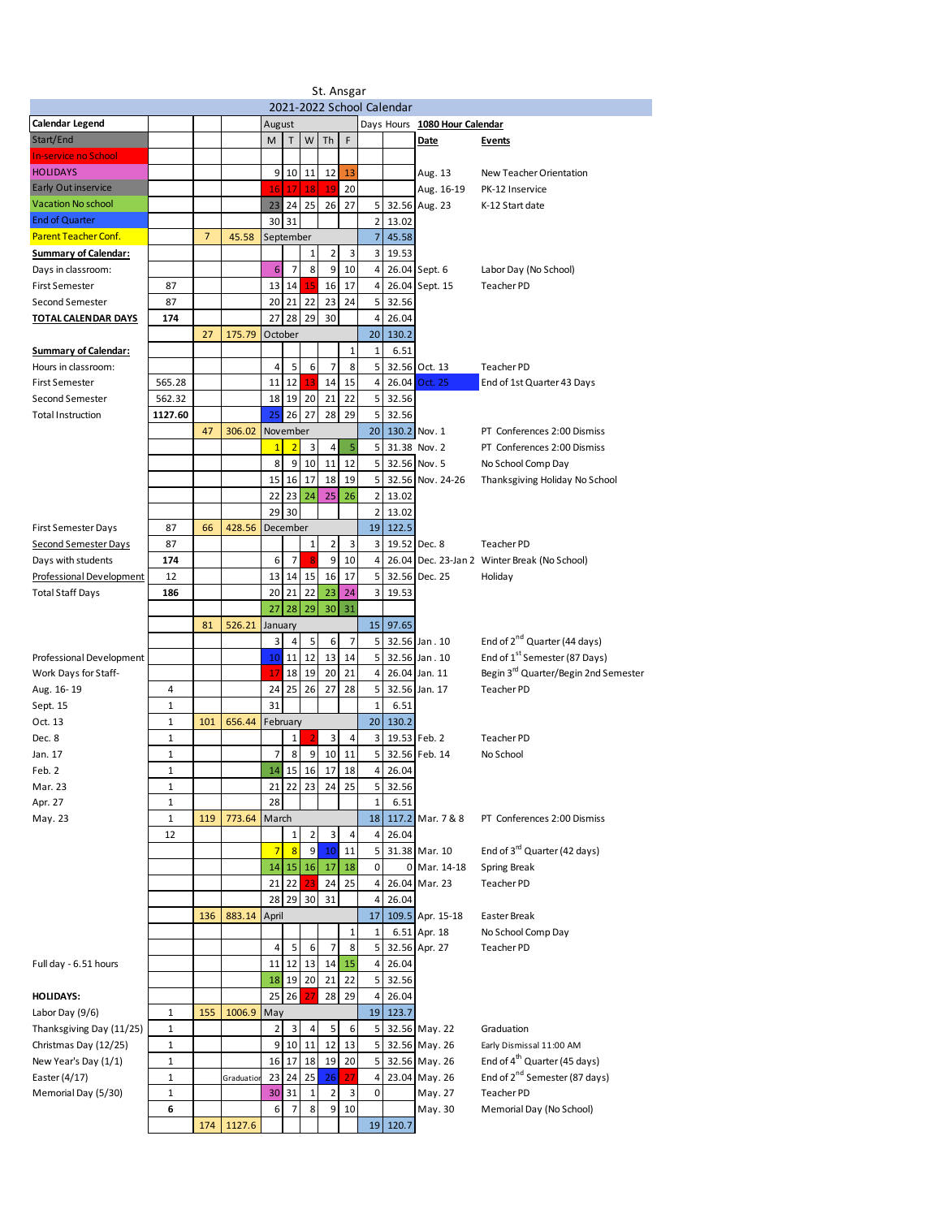|                             |              |                |            |                |                 |              | St. Ansgar     |                |                |       |                               |                                                  |
|-----------------------------|--------------|----------------|------------|----------------|-----------------|--------------|----------------|----------------|----------------|-------|-------------------------------|--------------------------------------------------|
| 2021-2022 School Calendar   |              |                |            |                |                 |              |                |                |                |       |                               |                                                  |
| <b>Calendar Legend</b>      |              |                |            | August         |                 |              |                |                |                |       | Days Hours 1080 Hour Calendar |                                                  |
| Start/End                   |              |                |            | M              | T               | W            | Th             | F              |                |       | Date                          | <b>Events</b>                                    |
| <b>In-service no School</b> |              |                |            |                |                 |              |                |                |                |       |                               |                                                  |
| <b>HOLIDAYS</b>             |              |                |            | 9              | 10              | 11           | 12             | 13             |                |       | Aug. 13                       | New Teacher Orientation                          |
| <b>Early Out inservice</b>  |              |                |            | 16             | 17              | 18           | 19             | 20             |                |       | Aug. 16-19                    | PK-12 Inservice                                  |
| Vacation No school          |              |                |            |                | 23 24           | 25           | 26             | 27             | 5 <sub>1</sub> |       | 32.56 Aug. 23                 | K-12 Start date                                  |
| <b>End of Quarter</b>       |              |                |            | 30             | 31              |              |                |                | 2 <sub>1</sub> | 13.02 |                               |                                                  |
| <b>Parent Teacher Conf.</b> |              | $\overline{7}$ | 45.58      | September      |                 |              |                |                | $\overline{7}$ | 45.58 |                               |                                                  |
| <b>Summary of Calendar:</b> |              |                |            |                |                 | $\mathbf{1}$ | 2              | 3              | 3 <sup>1</sup> | 19.53 |                               |                                                  |
| Days in classroom:          |              |                |            | 6              | $\overline{7}$  | 8            | 9              | 10             | 4              |       | 26.04 Sept. 6                 | Labor Day (No School)                            |
| <b>First Semester</b>       | 87           |                |            | 13             | 14              | 15           | 16             | 17             | $\overline{a}$ |       | 26.04 Sept. 15                | Teacher PD                                       |
| Second Semester             | 87           |                |            | 20             | 21              | 22           | 23             | 24             | 5              | 32.56 |                               |                                                  |
| TOTAL CALENDAR DAYS         | 174          |                |            | 27             | 28              | 29           | 30             |                | 4              | 26.04 |                               |                                                  |
|                             |              | 27             | 175.79     | October        |                 |              |                |                | 20             | 130.2 |                               |                                                  |
| <b>Summary of Calendar:</b> |              |                |            |                |                 |              |                | 1              | $\mathbf 1$    | 6.51  |                               |                                                  |
| Hours in classroom:         |              |                |            | 4              | 5               | 6            | $\overline{7}$ | 8              | 5              |       | 32.56 Oct. 13                 | Teacher PD                                       |
| <b>First Semester</b>       | 565.28       |                |            | 11             | 12              | 13           | 14             | 15             | 4              |       | 26.04 Oct. 25                 | End of 1st Quarter 43 Days                       |
| Second Semester             | 562.32       |                |            | 18             | 19              | 20           | 21             | 22             | 5              | 32.56 |                               |                                                  |
| <b>Total Instruction</b>    | 1127.60      |                |            | 25             | 26              | 27           | 28             | 29             | 5              | 32.56 |                               |                                                  |
|                             |              | 47             | 306.02     | November       |                 |              |                |                | 20             |       | 130.2 Nov. 1                  | PT Conferences 2:00 Dismiss                      |
|                             |              |                |            | $\mathbf{1}$   | $\overline{2}$  | 3            | 4              | 5              | 5              |       | 31.38 Nov. 2                  | PT Conferences 2:00 Dismiss                      |
|                             |              |                |            | 8              | 9               | 10           | 11             | 12             | 5              |       | 32.56 Nov. 5                  | No School Comp Day                               |
|                             |              |                |            | 15             | 16              | 17           | 18             | 19             | 5              |       | 32.56 Nov. 24-26              | Thanksgiving Holiday No School                   |
|                             |              |                |            | 22             | 23              | 24           | 25             | 26             | $\overline{2}$ | 13.02 |                               |                                                  |
|                             |              |                |            | 29             | 30              |              |                |                | 2              | 13.02 |                               |                                                  |
| <b>First Semester Days</b>  | 87           | 66             | 428.56     | December       |                 |              |                |                | 19             | 122.5 |                               |                                                  |
| Second Semester Days        | 87           |                |            |                |                 | $\mathbf{1}$ | $\overline{2}$ | 3              | 3              |       | 19.52 Dec. 8                  | Teacher PD                                       |
| Days with students          | 174          |                |            | 6              | $\overline{7}$  | 8            | 9              | 10             | 4              |       |                               | 26.04 Dec. 23-Jan 2 Winter Break (No School)     |
| Professional Development    | 12           |                |            | 13             | 14              | 15           | 16             | 17             | 5              |       | 32.56 Dec. 25                 | Holiday                                          |
| Total Staff Days            | 186          |                |            | 20             | 21              | 22           | 23             | 24             | 3              | 19.53 |                               |                                                  |
|                             |              |                |            | 27             | 28              | 29           | 30             | 31             |                |       |                               |                                                  |
|                             |              | 81             | 526.21     | January        |                 |              |                |                | 15             | 97.65 |                               |                                                  |
|                             |              |                |            | 3              | 4               | 5            | 6              | $\overline{7}$ | 5              |       | 32.56 Jan. 10                 | End of 2 <sup>nd</sup> Quarter (44 days)         |
| Professional Development    |              |                |            |                | $10$   11       | 12           | 13             | 14             | 5              |       | 32.56 Jan. 10                 | End of 1 <sup>st</sup> Semester (87 Days)        |
| Work Days for Staff-        |              |                |            | 17             | 18              | 19           | 20             | 21             | 4              |       | 26.04 Jan. 11                 | Begin 3 <sup>rd</sup> Quarter/Begin 2nd Semester |
| Aug. 16-19                  | 4            |                |            | 24             | 25              | 26           | 27             | 28             | 5              |       | 32.56 Jan. 17                 | Teacher PD                                       |
| Sept. 15                    | 1            |                |            | 31             |                 |              |                |                | $\mathbf 1$    | 6.51  |                               |                                                  |
| Oct. 13                     | $\mathbf{1}$ | 101            | 656.44     | February       |                 |              |                |                | 20             | 130.2 |                               |                                                  |
| Dec. 8                      | 1            |                |            |                | $\mathbf{1}$    |              | 3              | 4              | 3              |       | 19.53 Feb. 2                  | <b>Teacher PD</b>                                |
| Jan. 17                     | 1            |                |            | 7              | 8               | 9            | 10             | 11             | 5 <sub>l</sub> |       | 32.56 Feb. 14                 | No School                                        |
| Feb. 2                      | 1            |                |            |                |                 | 14 15 16     | 17             | 18             | 4 <sup>1</sup> | 26.04 |                               |                                                  |
| Mar. 23                     | 1            |                |            |                | 21 22           | 23           | 24             | 25             | 5 <sub>l</sub> | 32.56 |                               |                                                  |
| Apr. 27                     | 1            |                |            | 28             |                 |              |                |                | $\mathbf 1$    | 6.51  |                               |                                                  |
| May. 23                     | $\mathbf{1}$ | 119            | 773.64     | March          |                 |              |                |                | 18             |       | 117.2 Mar. 7 & 8              | PT Conferences 2:00 Dismiss                      |
|                             | 12           |                |            |                | $\mathbf{1}$    | 2            | 3              | 4              | 4              | 26.04 |                               |                                                  |
|                             |              |                |            | $\overline{7}$ | $\overline{8}$  | 9            | 10             | 11             | 5              |       | 31.38 Mar. 10                 | End of 3 <sup>rd</sup> Quarter (42 days)         |
|                             |              |                |            | 14             | 15              | 16           | 17             | 18             | 0              |       | 0 Mar. 14-18                  | Spring Break                                     |
|                             |              |                |            | 21             | 22              | 23           | 24             | 25             | 4              |       | 26.04 Mar. 23                 | Teacher PD                                       |
|                             |              |                |            | 28             | 29              | 30           | 31             |                | 4              | 26.04 |                               |                                                  |
|                             |              | 136            | 883.14     | April          |                 |              |                |                | 17             |       | 109.5 Apr. 15-18              | Easter Break                                     |
|                             |              |                |            |                |                 |              |                | 1              | $\mathbf 1$    |       | 6.51 Apr. 18                  | No School Comp Day                               |
|                             |              |                |            | 4              | 5               | 6            | $\overline{7}$ | 8              | 5              |       | 32.56 Apr. 27                 | Teacher PD                                       |
| Full day - 6.51 hours       |              |                |            | 11             |                 | 12 13        | 14             | 15             | $\overline{a}$ | 26.04 |                               |                                                  |
|                             |              |                |            |                | 18 19           | 20           | 21             | 22             | 5 <sub>l</sub> | 32.56 |                               |                                                  |
| <b>HOLIDAYS:</b>            |              |                |            | 25             | 26              | 27           | 28             | 29             | 4              | 26.04 |                               |                                                  |
| Labor Day (9/6)             | 1            | 155            | 1006.9     | May            |                 |              |                |                | 19             | 123.7 |                               |                                                  |
| Thanksgiving Day (11/25)    | 1            |                |            | $\overline{2}$ | 3               | 4            | 5              | 6              | 5              |       | 32.56 May. 22                 | Graduation                                       |
| Christmas Day (12/25)       | 1            |                |            | 9              | 10 <sup>°</sup> | 11           | 12             | 13             | 5              |       | 32.56 May 26                  | Early Dismissal 11:00 AM                         |
| New Year's Day (1/1)        | 1            |                |            | 16             | 17              | 18           | 19             | 20             | 5              |       | 32.56 May. 26                 | End of 4 <sup>th</sup> Quarter (45 days)         |
| Easter (4/17)               | 1            |                | Graduation | 23             | 24              | 25           | 26             | 27             | 4              |       | 23.04 May. 26                 | End of 2 <sup>nd</sup> Semester (87 days)        |
| Memorial Day (5/30)         | 1            |                |            | 30             | 31              | 1            | 2              | 3              | 0              |       | May. 27                       | Teacher PD                                       |
|                             | 6            |                |            | 6              | 7               | 8            | 9              | 10             |                |       | May. 30                       | Memorial Day (No School)                         |
|                             |              | 174            | 1127.6     |                |                 |              |                |                | 19             | 120.7 |                               |                                                  |